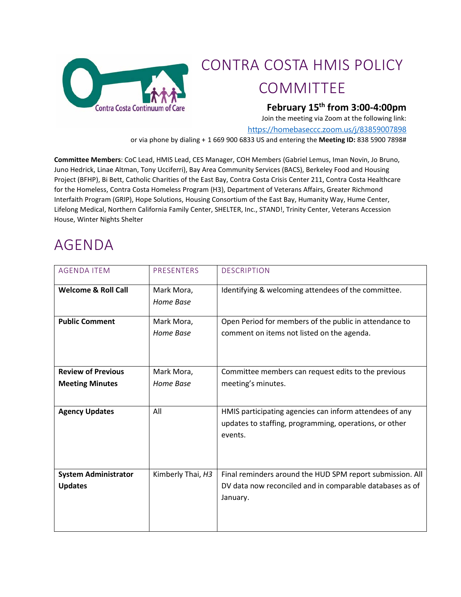

### CONTRA COSTA HMIS POLICY **COMMITTEE**

#### **February 15th from 3:00-4:00pm**

Join the meeting via Zoom at the following link:

<https://homebaseccc.zoom.us/j/83859007898>

or via phone by dialing + 1 669 900 6833 US and entering the **Meeting ID:** 838 5900 7898#

**Committee Members**: CoC Lead, HMIS Lead, CES Manager, COH Members (Gabriel Lemus, Iman Novin, Jo Bruno, Juno Hedrick, Linae Altman, Tony Ucciferri), Bay Area Community Services (BACS), Berkeley Food and Housing Project (BFHP), Bi Bett, Catholic Charities of the East Bay, Contra Costa Crisis Center 211, Contra Costa Healthcare for the Homeless, Contra Costa Homeless Program (H3), Department of Veterans Affairs, Greater Richmond Interfaith Program (GRIP), Hope Solutions, Housing Consortium of the East Bay, Humanity Way, Hume Center, Lifelong Medical, Northern California Family Center, SHELTER, Inc., STAND!, Trinity Center, Veterans Accession House, Winter Nights Shelter

#### AGENDA

| <b>AGENDA ITEM</b>                                  | <b>PRESENTERS</b>       | <b>DESCRIPTION</b>                                                                                                                |
|-----------------------------------------------------|-------------------------|-----------------------------------------------------------------------------------------------------------------------------------|
| <b>Welcome &amp; Roll Call</b>                      | Mark Mora,<br>Home Base | Identifying & welcoming attendees of the committee.                                                                               |
| <b>Public Comment</b>                               | Mark Mora,<br>Home Base | Open Period for members of the public in attendance to<br>comment on items not listed on the agenda.                              |
| <b>Review of Previous</b><br><b>Meeting Minutes</b> | Mark Mora,<br>Home Base | Committee members can request edits to the previous<br>meeting's minutes.                                                         |
| <b>Agency Updates</b>                               | All                     | HMIS participating agencies can inform attendees of any<br>updates to staffing, programming, operations, or other<br>events.      |
| <b>System Administrator</b><br><b>Updates</b>       | Kimberly Thai, H3       | Final reminders around the HUD SPM report submission. All<br>DV data now reconciled and in comparable databases as of<br>January. |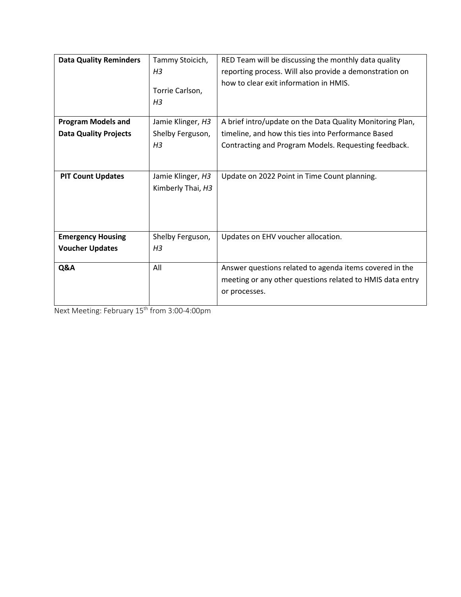| <b>Data Quality Reminders</b> | Tammy Stoicich,   | RED Team will be discussing the monthly data quality      |  |  |  |  |  |  |
|-------------------------------|-------------------|-----------------------------------------------------------|--|--|--|--|--|--|
|                               | H <sub>3</sub>    | reporting process. Will also provide a demonstration on   |  |  |  |  |  |  |
|                               |                   | how to clear exit information in HMIS.                    |  |  |  |  |  |  |
|                               | Torrie Carlson,   |                                                           |  |  |  |  |  |  |
|                               | H3                |                                                           |  |  |  |  |  |  |
| <b>Program Models and</b>     | Jamie Klinger, H3 | A brief intro/update on the Data Quality Monitoring Plan, |  |  |  |  |  |  |
| <b>Data Quality Projects</b>  | Shelby Ferguson,  | timeline, and how this ties into Performance Based        |  |  |  |  |  |  |
|                               | H <sub>3</sub>    | Contracting and Program Models. Requesting feedback.      |  |  |  |  |  |  |
|                               |                   |                                                           |  |  |  |  |  |  |
|                               |                   |                                                           |  |  |  |  |  |  |
| <b>PIT Count Updates</b>      | Jamie Klinger, H3 | Update on 2022 Point in Time Count planning.              |  |  |  |  |  |  |
|                               | Kimberly Thai, H3 |                                                           |  |  |  |  |  |  |
|                               |                   |                                                           |  |  |  |  |  |  |
|                               |                   |                                                           |  |  |  |  |  |  |
|                               |                   |                                                           |  |  |  |  |  |  |
| <b>Emergency Housing</b>      | Shelby Ferguson,  | Updates on EHV voucher allocation.                        |  |  |  |  |  |  |
| <b>Voucher Updates</b>        | H <sub>3</sub>    |                                                           |  |  |  |  |  |  |
|                               |                   |                                                           |  |  |  |  |  |  |
| Q&A                           | All               | Answer questions related to agenda items covered in the   |  |  |  |  |  |  |
|                               |                   | meeting or any other questions related to HMIS data entry |  |  |  |  |  |  |
|                               |                   | or processes.                                             |  |  |  |  |  |  |
|                               |                   |                                                           |  |  |  |  |  |  |

Next Meeting: February 15th from 3:00-4:00pm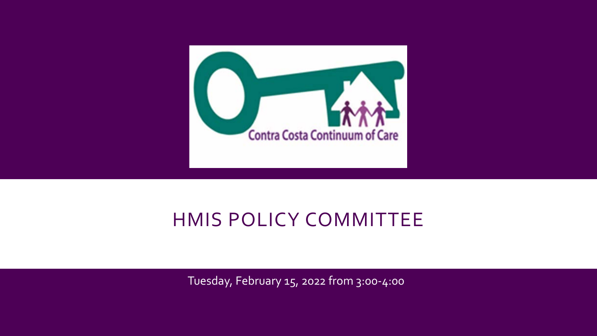

## HMIS POLICY COMMITTEE

Tuesday, February 15, 2022 from 3:00-4:00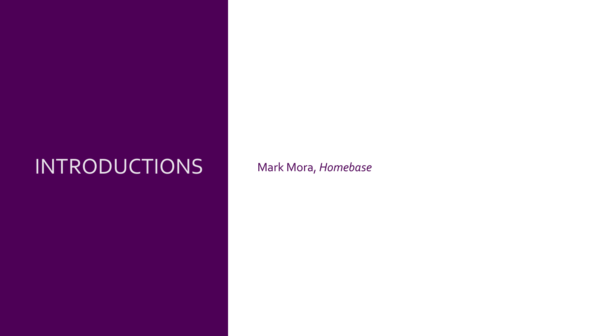# INTRODUCTIONS Mark Mora, *Homebase*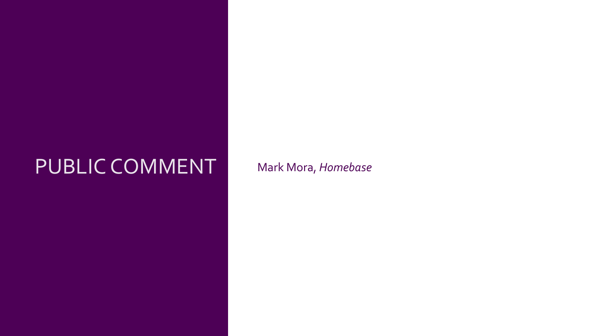## PUBLIC COMMENT Mark Mora, *Homebase*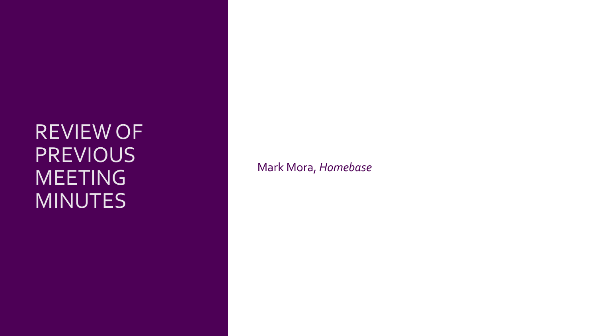## REVIEW OF **PREVIOUS** MEETING MINUTES

Mark Mora, *Homebase*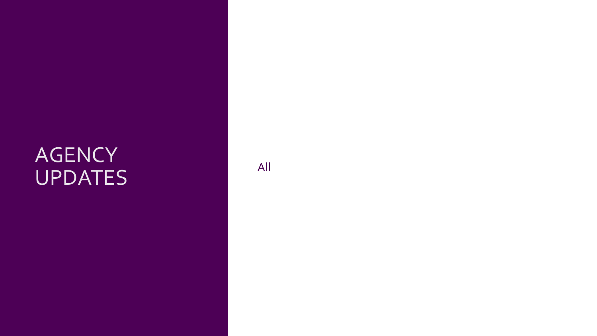# **AGENCY** THE CONSTRUCTION OF THE CONSTRUCTION OF THE CONSTRUCTION OF THE CONSTRUCTION OF THE CONSTRUCTION OF THE CONSTRUCTION OF THE CONSTRUCTION OF THE CONSTRUCTION OF THE CONSTRUCTION OF THE CONSTRUCTION OF THE CONSTRUCTION OF TH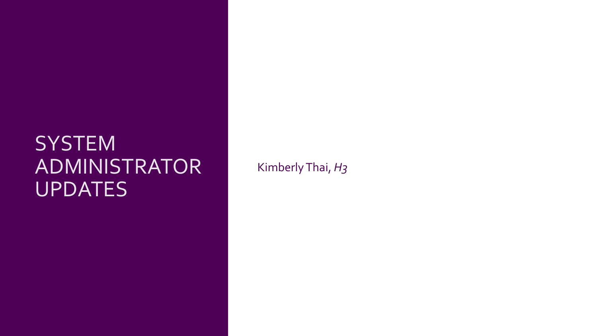## **SYSTEM** ADMINISTRATOR UPDATES

Kimberly Thai, *H3*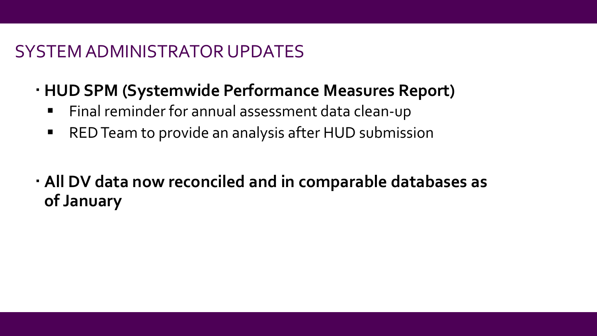### SYSTEM ADMINISTRATOR UPDATES

- **HUD SPM (Systemwide Performance Measures Report)**
	- Final reminder for annual assessment data clean-up
	- RED Team to provide an analysis after HUD submission
- **All DV data now reconciled and in comparable databases as of January**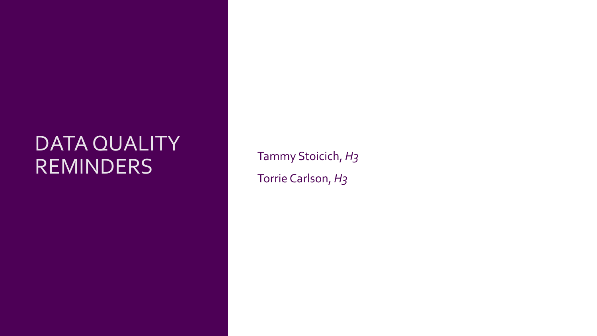## DATA QUALITY REMINDERS Tammy Stoicich, *H<sub>3</sub>*

Torrie Carlson, *H3*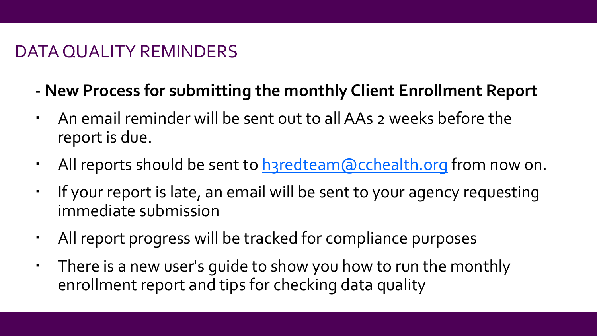### DATA QUALITY REMINDERS

- **- New Process for submitting the monthly Client Enrollment Report**
- An email reminder will be sent out to all AAs 2 weeks before the report is due.
- All reports should be sent to have deam acchealth.org from now on.
- If your report is late, an email will be sent to your agency requesting immediate submission
- All report progress will be tracked for compliance purposes
- There is a new user's guide to show you how to run the monthly enrollment report and tips for checking data quality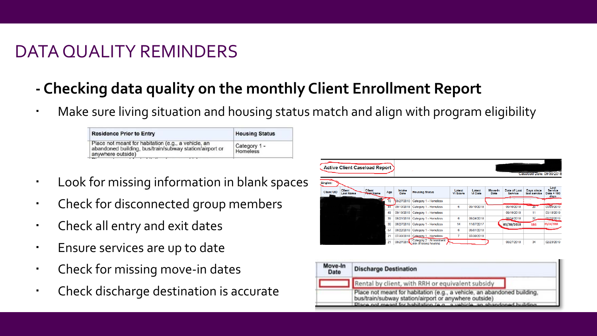## DATA QUALITY REMINDERS

- **- Checking data quality on the monthly Client Enrollment Report**
- Make sure living situation and housing status match and align with program eligibility

| <b>Residence Prior to Entry</b>                                                                                                                     | <b>Housing Status</b>    |
|-----------------------------------------------------------------------------------------------------------------------------------------------------|--------------------------|
| Place not meant for habitation (e.g., a vehicle, an<br>abandoned building, bus/train/subway station/airport or<br>anywhere outside)<br>$\mathbf{D}$ | Category 1 -<br>Homeless |

- Look for missing information in blank spaces
- Check for disconnected group members
- Check all entry and exit dates
- **Ensure services are up to date**
- Check for missing move-in dates
- Check discharge destination is accurate

|                               | <b>Active Client Caseload Report</b> |                             |     |                |                                                    |                    |                          |                 |                                |                            |                                              |
|-------------------------------|--------------------------------------|-----------------------------|-----|----------------|----------------------------------------------------|--------------------|--------------------------|-----------------|--------------------------------|----------------------------|----------------------------------------------|
|                               |                                      |                             |     |                |                                                    |                    |                          |                 |                                | Caseload Date: 09/30/2018  |                                              |
| Singles:<br><b>Client UID</b> | Client<br><b>Last Name</b>           | Client<br><b>Tiret</b> Name | Age | Intake<br>Date | <b>Housing Status</b>                              | Latest<br>VI Score | Latest<br><b>VI Date</b> | Move-In<br>Date | Date of Last<br><b>Service</b> | Days since<br>last service | Last<br><b>Service</b><br>Date + 180<br>days |
|                               |                                      |                             | 10  | 08/27/2018     | Category 1 - Homeless                              |                    |                          |                 |                                |                            |                                              |
|                               |                                      |                             | 44  | 09/10/2018     | Category 1 - Homeless                              | 6                  | 09/10/2018               |                 | 09/10/2018                     | $20-1$                     | 03/09/2019                                   |
|                               |                                      |                             | 49  | 09/19/2018     | Category 1 - Homeless                              |                    |                          |                 | 09/19/2018                     | 11                         | 03/18/2019                                   |
|                               |                                      |                             | 39  | 08/21/2018     | Category 1 - Homeless                              | 6                  | 08/24/2018               |                 | 08/24/2018                     | 37                         | 02/20/2019                                   |
|                               |                                      |                             | 30  | 06/27/2018     | Category 1 - Homeless                              | 14                 | 11/07/2017               |                 | 03/28/2018                     | 186                        | 09/24/2018                                   |
|                               |                                      |                             | 57  | 08/22/2018     | Category 1 - Homeless                              | 6                  | 05/01/2018               |                 |                                |                            |                                              |
|                               |                                      |                             | 21  | 07/30/2018     | Category 1 - Homeless                              | 7                  | 07/30/2018               |                 |                                |                            |                                              |
|                               |                                      |                             | 21  | 08/27/201      | Category 2 - At Imminent<br>risk of losing housing |                    |                          |                 | 08/27/2018                     | 34                         | 02/23/2019                                   |

| Move-In<br>Date | <b>Discharge Destination</b>                                                                                                                                                                              |
|-----------------|-----------------------------------------------------------------------------------------------------------------------------------------------------------------------------------------------------------|
|                 | Rental by client, with RRH or equivalent subsidy                                                                                                                                                          |
|                 | Place not meant for habitation (e.g., a vehicle, an abandoned building,<br>bus/train/subway station/airport or anywhere outside)<br>Place not meant for habitation (e.g., a vehicle an abandoned building |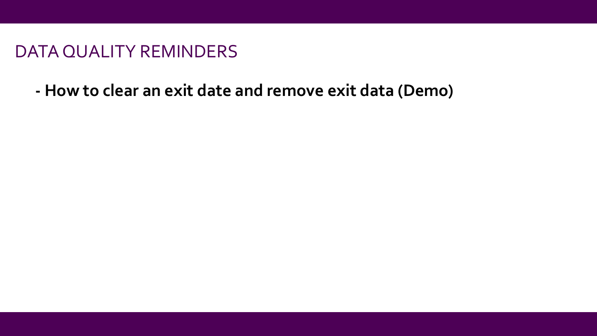### DATA QUALITY REMINDERS

**- How to clear an exit date and remove exit data (Demo)**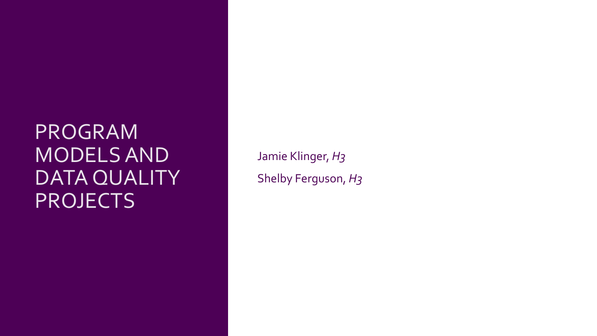Jamie Klinger, *H3* Shelby Ferguson, *H3*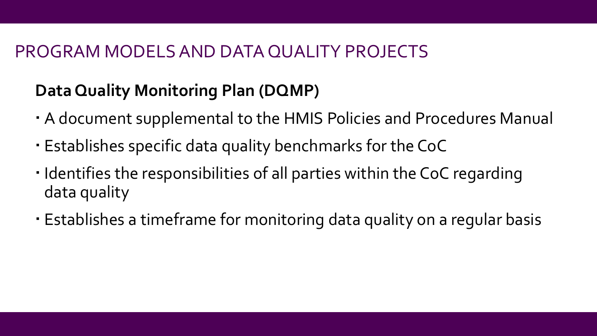## **Data Quality Monitoring Plan (DQMP)**

- A document supplemental to the HMIS Policies and Procedures Manual
- Establishes specific data quality benchmarks for the CoC
- · Identifies the responsibilities of all parties within the CoC regarding data quality
- Establishes a timeframe for monitoring data quality on a regular basis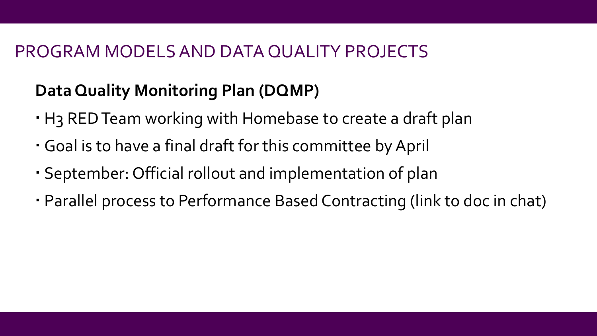## **Data Quality Monitoring Plan (DQMP)**

- H3 RED Team working with Homebase to create a draft plan
- Goal is to have a final draft for this committee by April
- · September: Official rollout and implementation of plan
- Parallel process to Performance Based Contracting (link to doc in chat)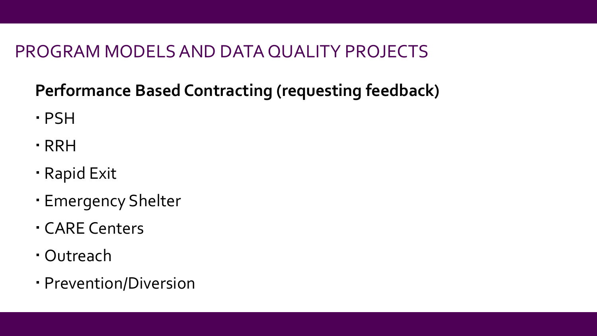## **Performance Based Contracting (requesting feedback)**

- PSH
- RRH
- Rapid Exit
- Emergency Shelter
- CARE Centers
- Outreach
- Prevention/Diversion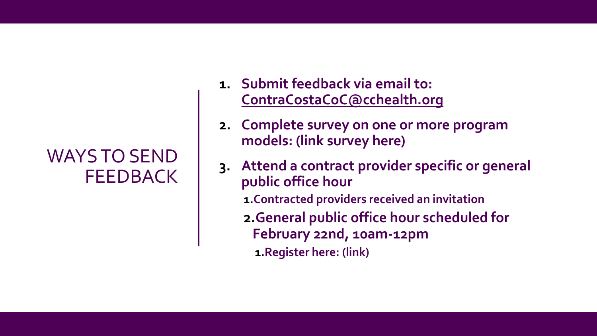## WAYS TO SEND **FEEDBACK**

- **1. Submit feedback via email to: [ContraCostaCoC@cchealth.org](mailto:ContraCostaCoC@cchealth.org)**
- **2. Complete survey on one or more program models: (link survey here)**
- **3. Attend a contract provider specific or general public office hour**
	- **1.Contracted providers received an invitation**
	- **2.General public office hour scheduled for February 22nd, 10am-12pm**
		- **1.Register here: (link)**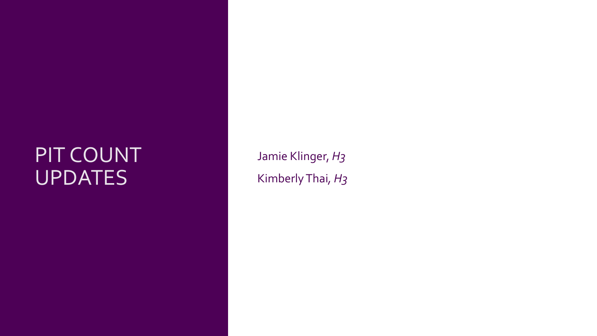## PIT COUNT UPDATES

Jamie Klinger, *H3* Kimberly Thai*, H3*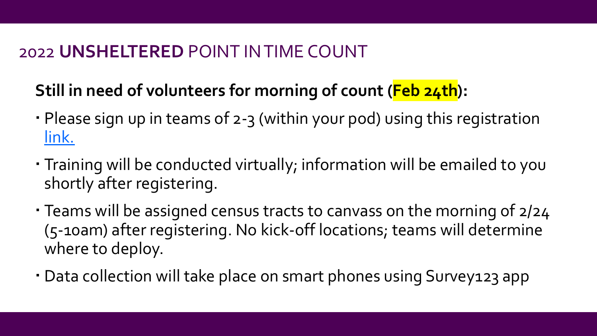## 2022 **UNSHELTERED** POINT IN TIME COUNT

## **Still in need of volunteers for morning of count (Feb 24th):**

- Please sign up in teams of 2-3 (within your pod) using this registration [link.](https://asr.sjc1.qualtrics.com/jfe/form/SV_79Zm8SCb7zix78i)
- · Training will be conducted virtually; information will be emailed to you shortly after registering.
- Teams will be assigned census tracts to canvass on the morning of 2/24 (5-10am) after registering. No kick-off locations; teams will determine where to deploy.
- Data collection will take place on smart phones using Survey123 app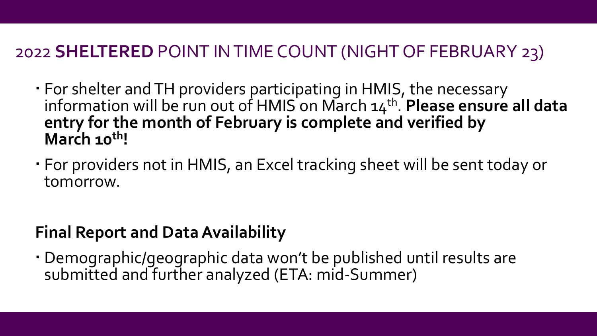## 2022 **SHELTERED** POINT IN TIME COUNT (NIGHT OF FEBRUARY 23)

- For shelter and TH providers participating in HMIS, the necessary information will be run out of HMIS on March 14<sup>th</sup>. **Please ensure all data entry for the month of February is complete and verified by March 10th!**
- For providers not in HMIS, an Excel tracking sheet will be sent today or tomorrow.

## **Final Report and Data Availability**

 Demographic/geographic data won't be published until results are submitted and further analyzed (ETA: mid-Summer)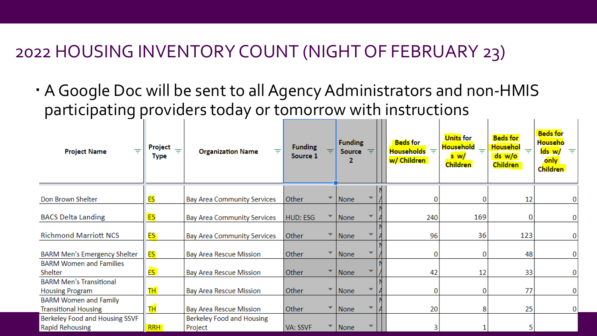### 2022 HOUSING INVENTORY COUNT (NIGHT OF FEBRUARY 23)

 AGoogle Doc will be sent to all Agency Administrators and non-HMIS participating providers today or tomorrow with instructions

| ₹<br><b>Project Name</b>                                    | Project<br>$\equiv$<br>Type | 亏<br><b>Organization Name</b>        | <b>Funding</b><br>Source 1 |                          | <b>Funding</b><br><b>Source</b> | ₹ | <b>Beds</b> for<br>Households $\equiv$<br>w/ Children | <b>Units</b> for<br><b>Household</b><br>s w/<br><b>Children</b> | <b>Beds for</b><br><b>Househol</b><br>$=$<br>ds w/o<br><b>Children</b> | <b>Beds for</b><br><u>Househo</u><br>lds w/<br>only<br><b>Children</b> |
|-------------------------------------------------------------|-----------------------------|--------------------------------------|----------------------------|--------------------------|---------------------------------|---|-------------------------------------------------------|-----------------------------------------------------------------|------------------------------------------------------------------------|------------------------------------------------------------------------|
| Don Brown Shelter                                           | ES                          | <b>Bay Area Community Services</b>   | Other                      |                          | None                            |   |                                                       | 0                                                               | 12                                                                     |                                                                        |
| <b>BACS Delta Landing</b>                                   | ES                          | <b>Bay Area Community Services</b>   | <b>HUD: ESG</b>            |                          | None                            |   | 240                                                   | 169                                                             | 0                                                                      |                                                                        |
| <b>Richmond Marriott NCS</b>                                | ES:                         | <b>Bay Area Community Services</b>   | Other                      |                          | <b>None</b>                     |   | 96                                                    | 36                                                              | 123                                                                    |                                                                        |
| BARM Men's Emergency Shelter                                | ES.                         | <b>Bay Area Rescue Mission</b>       | Other                      |                          | None                            |   | 0                                                     | 0                                                               | 48                                                                     |                                                                        |
| <b>BARM Women and Families</b><br>Shelter                   | ES <sup>1</sup>             | <b>Bay Area Rescue Mission</b>       | Other                      |                          | None                            |   | 42                                                    | 12                                                              | 33                                                                     |                                                                        |
| <b>BARM Men's Transitional</b><br><b>Housing Program</b>    | <b>TH</b>                   | <b>Bay Area Rescue Mission</b>       | Other                      | $\overline{\phantom{a}}$ | None                            |   | 0                                                     | 0                                                               | 77                                                                     |                                                                        |
| <b>BARM Women and Family</b><br><b>Transitional Housing</b> | ΤH <sub>1</sub>             | <b>Bay Area Rescue Mission</b>       | Other                      |                          | None                            |   | 20                                                    | 8                                                               | 25                                                                     | 0                                                                      |
| Berkeley Food and Housing SSVF<br><b>Rapid Rehousing</b>    | <b>RRH</b>                  | Berkeley Food and Housing<br>Project | VA: SSVF                   |                          | None                            |   |                                                       |                                                                 | 5                                                                      |                                                                        |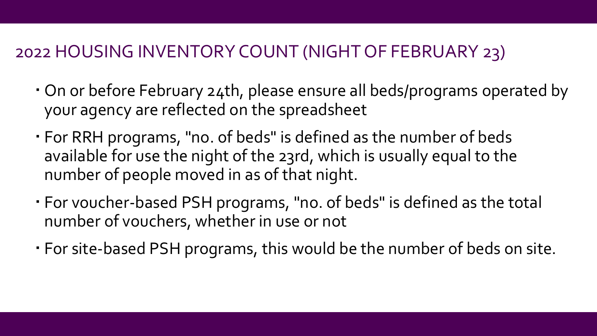## 2022 HOUSING INVENTORY COUNT (NIGHT OF FEBRUARY 23)

- On or before February 24th, please ensure all beds/programs operated by your agency are reflected on the spreadsheet
- For RRH programs, "no. of beds" is defined as the number of beds available for use the night of the 23rd, which is usually equal to the number of people moved in as of that night.
- For voucher-based PSH programs, "no. of beds" is defined as the total number of vouchers, whether in use or not
- For site-based PSH programs, this would be the number of beds on site.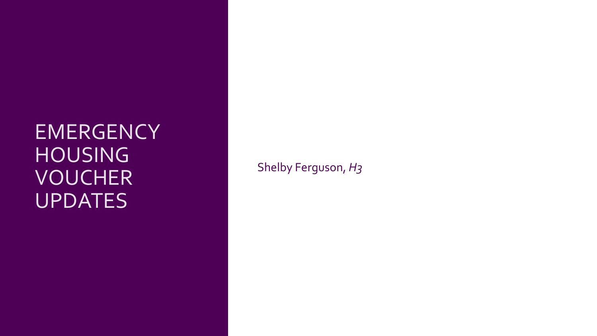## EMERGENCY HOUSING VOUCHER UPDATES

Shelby Ferguson, *H3*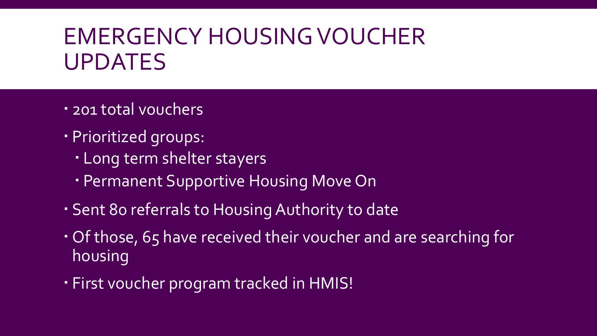# EMERGENCY HOUSING VOUCHER UPDATES

- 201 total vouchers
- Prioritized groups:
	- Long term shelter stayers
	- Permanent Supportive Housing Move On
- Sent 80 referrals to Housing Authority to date
- Of those, 65 have received their voucher and are searching for housing
- First voucher program tracked in HMIS!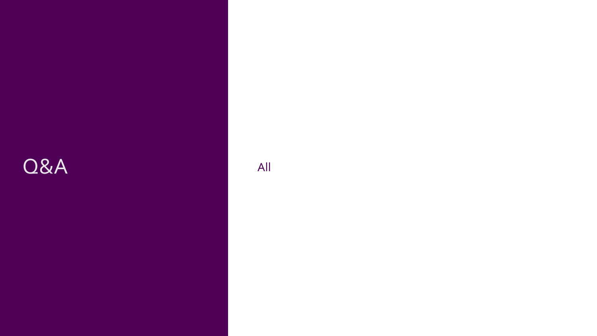## Q&A All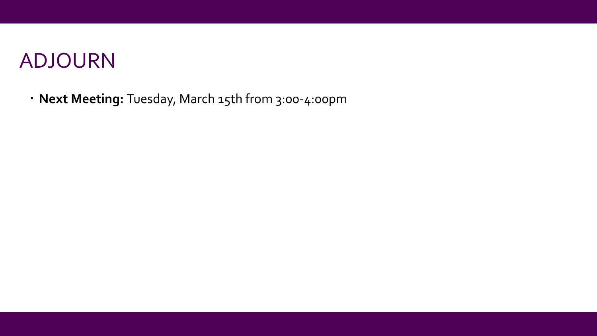## ADJOURN

**Next Meeting:** Tuesday, March 15th from 3:00-4:00pm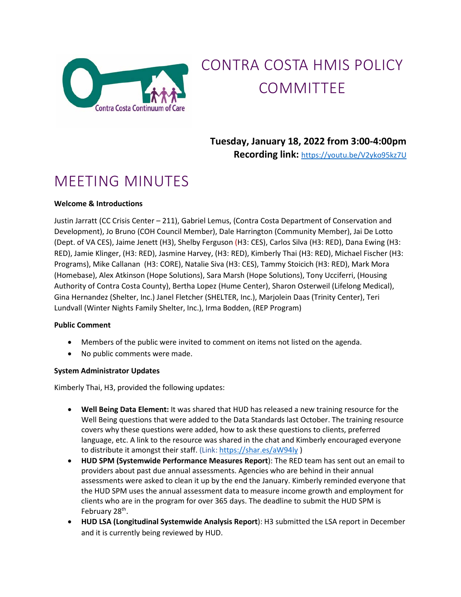

#### CONTRA COSTA HMIS POLICY COMMITTEE

**Tuesday, January 18, 2022 from 3:00-4:00pm Recording link:**<https://youtu.be/V2yko95kz7U>

#### MEETING MINUTES

#### **Welcome & Introductions**

Justin Jarratt (CC Crisis Center – 211), Gabriel Lemus, (Contra Costa Department of Conservation and Development), Jo Bruno (COH Council Member), Dale Harrington (Community Member), Jai De Lotto (Dept. of VA CES), Jaime Jenett (H3), Shelby Ferguson (H3: CES), Carlos Silva (H3: RED), Dana Ewing (H3: RED), Jamie Klinger, (H3: RED), Jasmine Harvey, (H3: RED), Kimberly Thai (H3: RED), Michael Fischer (H3: Programs), Mike Callanan (H3: CORE), Natalie Siva (H3: CES), Tammy Stoicich (H3: RED), Mark Mora (Homebase), Alex Atkinson (Hope Solutions), Sara Marsh (Hope Solutions), Tony Ucciferri, (Housing Authority of Contra Costa County), Bertha Lopez (Hume Center), Sharon Osterweil (Lifelong Medical), Gina Hernandez (Shelter, Inc.) Janel Fletcher (SHELTER, Inc.), Marjolein Daas (Trinity Center), Teri Lundvall (Winter Nights Family Shelter, Inc.), Irma Bodden, (REP Program)

#### **Public Comment**

- Members of the public were invited to comment on items not listed on the agenda.
- No public comments were made.

#### **System Administrator Updates**

Kimberly Thai, H3, provided the following updates:

- **Well Being Data Element:** It was shared that HUD has released a new training resource for the Well Being questions that were added to the Data Standards last October. The training resource covers why these questions were added, how to ask these questions to clients, preferred language, etc. A link to the resource was shared in the chat and Kimberly encouraged everyone to distribute it amongst their staff. (Link: <https://shar.es/aW94ly> )
- **HUD SPM (Systemwide Performance Measures Report**): The RED team has sent out an email to providers about past due annual assessments. Agencies who are behind in their annual assessments were asked to clean it up by the end the January. Kimberly reminded everyone that the HUD SPM uses the annual assessment data to measure income growth and employment for clients who are in the program for over 365 days. The deadline to submit the HUD SPM is February 28<sup>th</sup>.
- **HUD LSA (Longitudinal Systemwide Analysis Report**): H3 submitted the LSA report in December and it is currently being reviewed by HUD.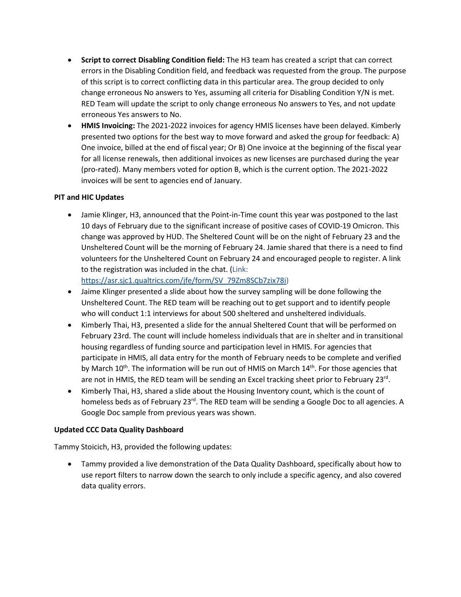- **Script to correct Disabling Condition field:** The H3 team has created a script that can correct errors in the Disabling Condition field, and feedback was requested from the group. The purpose of this script is to correct conflicting data in this particular area. The group decided to only change erroneous No answers to Yes, assuming all criteria for Disabling Condition Y/N is met. RED Team will update the script to only change erroneous No answers to Yes, and not update erroneous Yes answers to No.
- **HMIS Invoicing:** The 2021-2022 invoices for agency HMIS licenses have been delayed. Kimberly presented two options for the best way to move forward and asked the group for feedback: A) One invoice, billed at the end of fiscal year; Or B) One invoice at the beginning of the fiscal year for all license renewals, then additional invoices as new licenses are purchased during the year (pro-rated). Many members voted for option B, which is the current option. The 2021-2022 invoices will be sent to agencies end of January.

#### **PIT and HIC Updates**

• Jamie Klinger, H3, announced that the Point-in-Time count this year was postponed to the last 10 days of February due to the significant increase of positive cases of COVID-19 Omicron. This change was approved by HUD. The Sheltered Count will be on the night of February 23 and the Unsheltered Count will be the morning of February 24. Jamie shared that there is a need to find volunteers for the Unsheltered Count on February 24 and encouraged people to register. A link to the registration was included in the chat. (Link:

[https://asr.sjc1.qualtrics.com/jfe/form/SV\\_79Zm8SCb7zix78i\)](https://asr.sjc1.qualtrics.com/jfe/form/SV_79Zm8SCb7zix78i)

- Jaime Klinger presented a slide about how the survey sampling will be done following the Unsheltered Count. The RED team will be reaching out to get support and to identify people who will conduct 1:1 interviews for about 500 sheltered and unsheltered individuals.
- Kimberly Thai, H3, presented a slide for the annual Sheltered Count that will be performed on February 23rd. The count will include homeless individuals that are in shelter and in transitional housing regardless of funding source and participation level in HMIS. For agencies that participate in HMIS, all data entry for the month of February needs to be complete and verified by March  $10^{th}$ . The information will be run out of HMIS on March  $14^{th}$ . For those agencies that are not in HMIS, the RED team will be sending an Excel tracking sheet prior to February  $23^{\text{rd}}$ .
- Kimberly Thai, H3, shared a slide about the Housing Inventory count, which is the count of homeless beds as of February 23<sup>rd</sup>. The RED team will be sending a Google Doc to all agencies. A Google Doc sample from previous years was shown.

#### **Updated CCC Data Quality Dashboard**

Tammy Stoicich, H3, provided the following updates:

• Tammy provided a live demonstration of the Data Quality Dashboard, specifically about how to use report filters to narrow down the search to only include a specific agency, and also covered data quality errors.